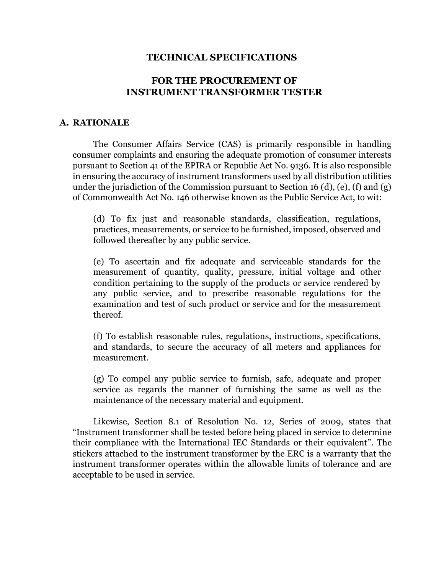### **TECHNICAL SPECIFICATIONS**

# **FOR THE PROCUREMENT OF INSTRUMENT TRANSFORMER TESTER**

#### **A. RATIONALE**

The Consumer Affairs Service (CAS) is primarily responsible in handling consumer complaints and ensuring the adequate promotion of consumer interests pursuant to Section 41 of the EPIRA or Republic Act No. 9136. It is also responsible in ensuring the accuracy of instrument transformers used by all distribution utilities under the jurisdiction of the Commission pursuant to Section 16 (d), (e), (f) and (g) of Commonwealth Act No. 146 otherwise known as the Public Service Act, to wit:

(d) To fix just and reasonable standards, classification, regulations, practices, measurements, or service to be furnished, imposed, observed and followed thereafter by any public service.

(e) To ascertain and fix adequate and serviceable standards for the measurement of quantity, quality, pressure, initial voltage and other condition pertaining to the supply of the products or service rendered by any public service, and to prescribe reasonable regulations for the examination and test of such product or service and for the measurement thereof.

(f) To establish reasonable rules, regulations, instructions, specifications, and standards, to secure the accuracy of all meters and appliances for measurement.

(g) To compel any public service to furnish, safe, adequate and proper service as regards the manner of furnishing the same as well as the maintenance of the necessary material and equipment.

Likewise, Section 8.1 of Resolution No. 12, Series of 2009, states that "Instrument transformer shall be tested before being placed in service to determine their compliance with the International IEC Standards or their equivalent". The stickers attached to the instrument transformer by the ERC is a warranty that the instrument transformer operates within the allowable limits of tolerance and are acceptable to be used in service.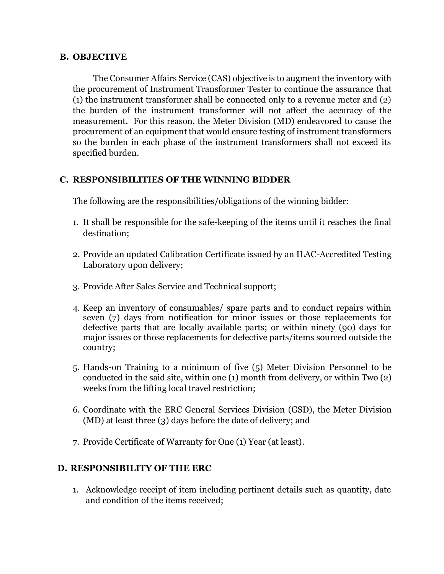#### **B. OBJECTIVE**

The Consumer Affairs Service (CAS) objective is to augment the inventory with the procurement of Instrument Transformer Tester to continue the assurance that (1) the instrument transformer shall be connected only to a revenue meter and (2) the burden of the instrument transformer will not affect the accuracy of the measurement. For this reason, the Meter Division (MD) endeavored to cause the procurement of an equipment that would ensure testing of instrument transformers so the burden in each phase of the instrument transformers shall not exceed its specified burden.

## **C. RESPONSIBILITIES OF THE WINNING BIDDER**

The following are the responsibilities/obligations of the winning bidder:

- 1. It shall be responsible for the safe-keeping of the items until it reaches the final destination;
- 2. Provide an updated Calibration Certificate issued by an ILAC-Accredited Testing Laboratory upon delivery;
- 3. Provide After Sales Service and Technical support;
- 4. Keep an inventory of consumables/ spare parts and to conduct repairs within seven (7) days from notification for minor issues or those replacements for defective parts that are locally available parts; or within ninety (90) days for major issues or those replacements for defective parts/items sourced outside the country;
- 5. Hands-on Training to a minimum of five (5) Meter Division Personnel to be conducted in the said site, within one (1) month from delivery, or within Two (2) weeks from the lifting local travel restriction;
- 6. Coordinate with the ERC General Services Division (GSD), the Meter Division (MD) at least three (3) days before the date of delivery; and
- 7. Provide Certificate of Warranty for One (1) Year (at least).

## **D. RESPONSIBILITY OF THE ERC**

1. Acknowledge receipt of item including pertinent details such as quantity, date and condition of the items received;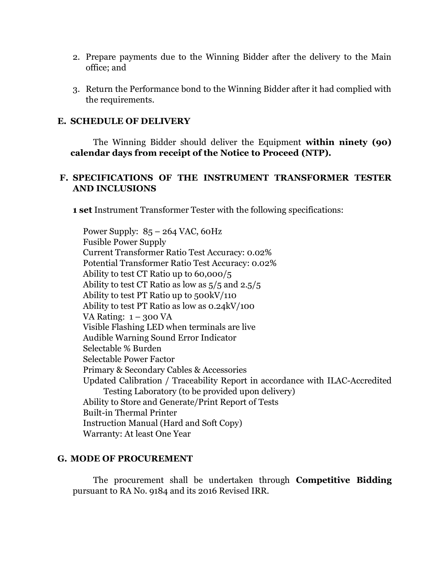- 2. Prepare payments due to the Winning Bidder after the delivery to the Main office; and
- 3. Return the Performance bond to the Winning Bidder after it had complied with the requirements.

#### **E. SCHEDULE OF DELIVERY**

The Winning Bidder should deliver the Equipment **within ninety (90) calendar days from receipt of the Notice to Proceed (NTP).**

### **F. SPECIFICATIONS OF THE INSTRUMENT TRANSFORMER TESTER AND INCLUSIONS**

**1 set** Instrument Transformer Tester with the following specifications:

Power Supply:  $85 - 264$  VAC, 60Hz Fusible Power Supply Current Transformer Ratio Test Accuracy: 0.02% Potential Transformer Ratio Test Accuracy: 0.02% Ability to test CT Ratio up to 60,000/5 Ability to test CT Ratio as low as 5/5 and 2.5/5 Ability to test PT Ratio up to 500kV/110 Ability to test PT Ratio as low as 0.24kV/100 VA Rating:  $1 - 300$  VA Visible Flashing LED when terminals are live Audible Warning Sound Error Indicator Selectable % Burden Selectable Power Factor Primary & Secondary Cables & Accessories Updated Calibration / Traceability Report in accordance with ILAC-Accredited Testing Laboratory (to be provided upon delivery) Ability to Store and Generate/Print Report of Tests Built-in Thermal Printer Instruction Manual (Hard and Soft Copy) Warranty: At least One Year

### **G. MODE OF PROCUREMENT**

The procurement shall be undertaken through **Competitive Bidding** pursuant to RA No. 9184 and its 2016 Revised IRR.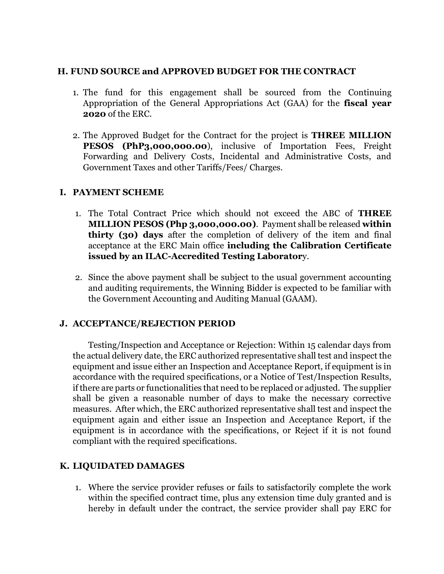### **H. FUND SOURCE and APPROVED BUDGET FOR THE CONTRACT**

- 1. The fund for this engagement shall be sourced from the Continuing Appropriation of the General Appropriations Act (GAA) for the **fiscal year 2020** of the ERC.
- 2. The Approved Budget for the Contract for the project is **THREE MILLION PESOS (PhP3,000,000.00**), inclusive of Importation Fees, Freight Forwarding and Delivery Costs, Incidental and Administrative Costs, and Government Taxes and other Tariffs/Fees/ Charges.

# **I. PAYMENT SCHEME**

- 1. The Total Contract Price which should not exceed the ABC of **THREE MILLION PESOS (Php 3,000,000.00)**. Payment shall be released **within thirty (30) days** after the completion of delivery of the item and final acceptance at the ERC Main office **including the Calibration Certificate issued by an ILAC-Accredited Testing Laborator**y.
- 2. Since the above payment shall be subject to the usual government accounting and auditing requirements, the Winning Bidder is expected to be familiar with the Government Accounting and Auditing Manual (GAAM).

# **J. ACCEPTANCE/REJECTION PERIOD**

Testing/Inspection and Acceptance or Rejection: Within 15 calendar days from the actual delivery date, the ERC authorized representative shall test and inspect the equipment and issue either an Inspection and Acceptance Report, if equipment is in accordance with the required specifications, or a Notice of Test/Inspection Results, if there are parts or functionalities that need to be replaced or adjusted. The supplier shall be given a reasonable number of days to make the necessary corrective measures. After which, the ERC authorized representative shall test and inspect the equipment again and either issue an Inspection and Acceptance Report, if the equipment is in accordance with the specifications, or Reject if it is not found compliant with the required specifications.

# **K. LIQUIDATED DAMAGES**

1. Where the service provider refuses or fails to satisfactorily complete the work within the specified contract time, plus any extension time duly granted and is hereby in default under the contract, the service provider shall pay ERC for